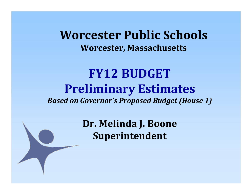**Worcester Public Schools Worcester, Massachusetts**

#### **FY12 BUDGETPreliminary Estimates** *Based on Governor's Proposed Budget (House 1)*

**Dr. Melinda J. Boone Superintendent**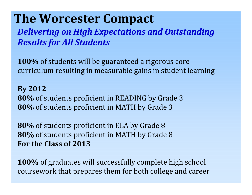### **The Worcester Compact**

*Delivering on High Expectations and Outstanding Results for All Students*

**100%** of students will be guaranteed a rigorous core curriculum resulting in measurable gains in student learning

**By 2012 80%** of students proficient in READING by Grade 3 **80%** of students proficient in MATH by Grade 3

**80%** of students proficient in ELA by Grade 8 **80%** of students proficient in MATH by Grade 8 **For the Class of 2013**

**100%** of graduates will successfully complete high school coursework that prepares them for both college and career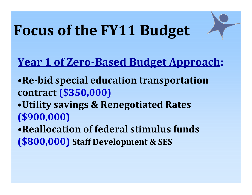## **Focus of the FY11 Budget**

#### **Year 1 of ZeroBased Budget Approach:**

- •**Rebid special education transportation contract (\$350,000)**
- •**Utility savings & Renegotiated Rates (\$900,000)**
- •**Reallocation of federal stimulus funds (\$800,000) Staff Development & SES**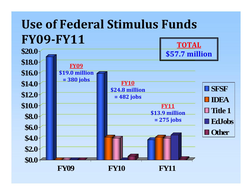#### **Use of Federal Stimulus Funds FY09FY11 TOTAL**

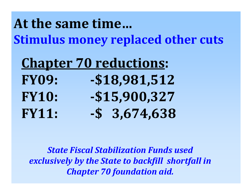## **At the same time…Stimulus money replaced other cuts**

|              | <b>Chapter 70 reductions:</b> |
|--------------|-------------------------------|
| <b>FY09:</b> | $-$18,981,512$                |
| <b>FY10:</b> | $-$15,900,327$                |
| <b>FY11:</b> | $-$ \$ 3,674,638              |

*State Fiscal Stabilization Funds used exclusively by the State to backfill shortfall in Chapter 70 foundation aid.*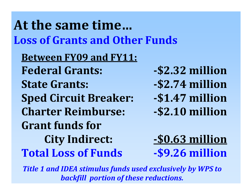## **At the same time…Loss of Grants and Other Funds**

**Between FY09 and FY11: FederalState Grants: Sped Circuit Breaker: \$1.47 million Charter Reimburse: Grant funds forCity Indirect: \$0.63 million Total Loss**

- **Grants: \$2.32 million**
- **Grants: \$2.74 million**
- 
- **Reimburse: \$2.10 million**

**of Funds \$9.26 million**

*Title 1 and IDEA stimulus funds used exclusively by WPS to backfill portion of these reductions.*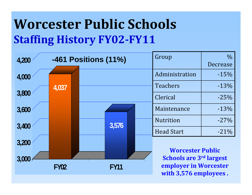## **Worcester Public Schools Staffing History FY02FY11**

| 4,200                      | <b>-461 Positions (11%)</b> |                                                | Group | $\%$<br>Decrease |                                                           |        |
|----------------------------|-----------------------------|------------------------------------------------|-------|------------------|-----------------------------------------------------------|--------|
| 4,000                      |                             |                                                |       |                  | Administration                                            | $-15%$ |
|                            | 4,037                       |                                                |       |                  | <b>Teachers</b>                                           | $-13%$ |
| 3,800                      |                             |                                                |       |                  | Clerical                                                  | $-25%$ |
| 3,600                      |                             |                                                |       |                  | Maintenance                                               | $-13%$ |
| 3,400                      |                             |                                                | 3,576 |                  | <b>Nutrition</b>                                          | $-27%$ |
|                            |                             |                                                |       |                  | <b>Head Start</b>                                         | $-21%$ |
| 3,200                      |                             |                                                |       |                  |                                                           |        |
| 3,000                      |                             |                                                |       |                  | <b>Worcester Public</b><br><b>Schools are 3rd largest</b> |        |
| <b>FY11</b><br><b>FY02</b> |                             | employer in Worcester<br>with 3,576 employees. |       |                  |                                                           |        |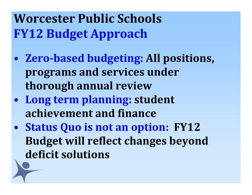**Worcester Public Schools FY12 Budget Approach**

- **Zerobased budgeting: All positions, programs and services under thorough annual review**
- $\bullet$  **Long term planning: student achievement and finance**
- **Status Quo is not an option: FY12 Budget will reflect changes beyond deficit solutions**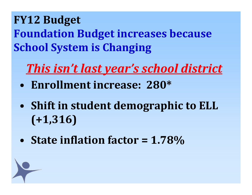**FY12 Budget Foundation Budget increases because School System is Changing**

## *This isn't last year's school district*

- **Enrollment increase: 280\***
- **Shift in student demographic to ELL (+1,316)**
- **State inflation factor <sup>=</sup> 1.78%**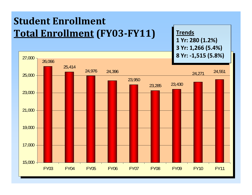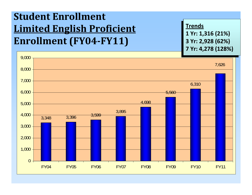#### **Student Enrollment Limited English Proficient Enrollment (FY04FY11)**

**TrendsTrends Yr: 1,316 (21%) 1 Yr: 1,316 (21%) Yr: 2,928 (62%) 3 Yr: 2,928 (62%) Yr: 4,278 (128%) 7 Yr: 4,278 (128%)**

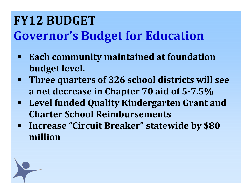## **FY12 BUDGETGovernor's Budget for Education**

- $\blacksquare$  **Each community maintained at foundation budget level.**
- $\blacksquare$  **Three quarters of 326 school districts will see a net decrease in Chapter 70 aid of 57.5%**
- $\blacksquare$  **Level funded Quality Kindergarten Grant and Charter School Reimbursements**
- $\blacksquare$  **Increase "Circuit Breaker" statewide by \$80 million**

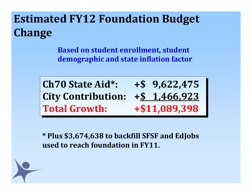### **Estimated FY12 Foundation Budget Change**

**Based on student enrollment, student demographic and state inflation factor**

**Ch70Ch70 State Aid\*: +\$ 9,622,475 City Contribution: +\$ 1,466,923 City Contribution: +\$ 1,466,923 TotalTotal**

 **State Aid\*: +\$ 9,622,475 Growth: +\$11,089,398 Growth: +\$11,089,398**

**\* Plus \$3,674,638 to backfill SFSF and EdJobs used to reach foundation in FY11.**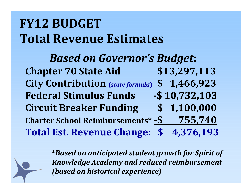## **FY12 BUDGETTotal Revenue Estimates**

#### *Based on Governor's Budget***:**

**Chapter 70 State Aid \$13,297,113 City Contribution (***state formula***) \$ 1,466,923 Federal Stimulus Funds \$ 10,732,103 Circuit Breaker Funding \$ 1,100,000 Charter School Reimbursements\* \$ 755,740 Total Est. RevenueChange: \$ 4,376,193**

> **\****Based on anticipated student growth for Spirit of Knowledge Academy and reduced reimbursement (based on historical experience)*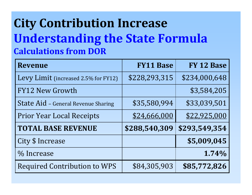### **City Contribution Increase Understanding the State Formula Calculations from DOR**

| <b>Revenue</b>                       | <b>FY11 Base</b> | FY 12 Base    |
|--------------------------------------|------------------|---------------|
| Levy Limit (increased 2.5% for FY12) | \$228,293,315    | \$234,000,648 |
| <b>FY12 New Growth</b>               |                  | \$3,584,205   |
| State Aid - General Revenue Sharing  | \$35,580,994     | \$33,039,501  |
| <b>Prior Year Local Receipts</b>     | \$24,666,000     | \$22,925,000  |
| <b>TOTAL BASE REVENUE</b>            | \$288,540,309    | \$293,549,354 |
| City \$ Increase                     |                  | \$5,009,045   |
| % Increase                           |                  | 1.74%         |
| <b>Required Contribution to WPS</b>  | \$84,305,903     | \$85,772,826  |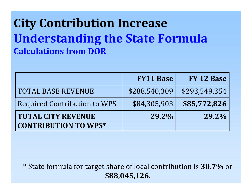### **City Contribution Increase Understanding the State Formula Calculations from DOR**

|                                                          | <b>FY11 Base</b> | FY 12 Base    |
|----------------------------------------------------------|------------------|---------------|
| <b>TOTAL BASE REVENUE</b>                                | \$288,540,309    | \$293,549,354 |
| <b>Required Contribution to WPS</b>                      | \$84,305,903     | \$85,772,826  |
| <b>TOTAL CITY REVENUE</b><br><b>CONTRIBUTION TO WPS*</b> | 29.2%            | 29.2%         |

\* State formula for target share of local contribution is **30.7%** or **\$88,045,126.**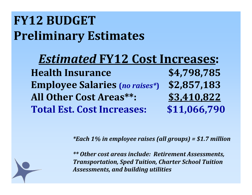## **FY12 BUDGETPreliminary Estimates**

*Estimated* **FY12 Cost Increases: Health Insurance \$4,798,785 Employee Salaries (***no raises\****) \$2,857,183 All Other Cost Areas\*\*: \$3,410,822 Total Est. CostIncreases: \$11,066,790**

*\*Each 1% in employee raises (all groups) <sup>=</sup> \$1.7 million*

*\*\* Other cost areas include: Retirement Assessments, Transportation, Sped Tuition, Charter School Tuition Assessments, and building utilities*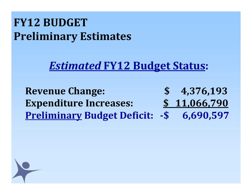#### **FY12 BUDGETPreliminary Estimates**

#### *Estimated* **FY12 Budget Status:**

**Revenue Change: \$ 4,376,193 Expenditure Increases: \$ 11,066,790 Preliminary Budget Deficit: \$ 6,690,597**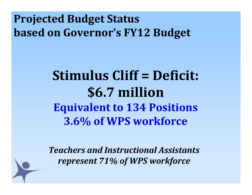#### **Projected Budget Status based on Governor's FY12 Budget**

## **Stimulus Cliff <sup>=</sup> Deficit: \$6.7 million Equivalent to 134 Positions 3.6% of WPS workforce**

*Teachers and Instructional Assistants represent 71% of WPS workforce*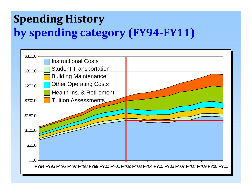### **Spending History by spending category (FY94FY11)**

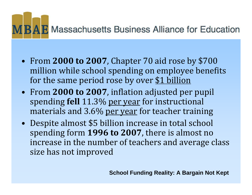

- • From **2000 to 2007**, Chapter 70 aid rose by \$700 million while school spending on employee benefits for the same period rose by over \$1 billion
- From **2000 to 2007**, inflation adjusted per pupil spending **fell** 11.3% per year for instructional materials and 3.6% per year for teacher training
- $\bullet$  Despite almost \$5 billion increase in total school spending form **1996 to 2007**, there is almost no increase in the number of teachers and average class size has not improved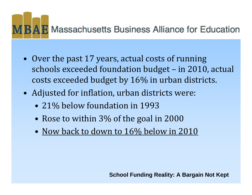

- Over the past 17 years, actual costs of running schools exceeded foundation budget – in 2010, actual costs exceeded budget by 16% in urban districts.
- Adjusted for inflation, urban districts were:
	- 21% below foundation in 1993
	- Rose to within 3% of the goal in 2000
	- Now back to down to 16% below in 2010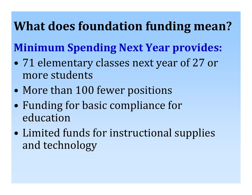## **What does foundation funding mean?**

### **Minimum Spending Next Year provides:**

- 0 71 elementary classes next year of 27 or more students
- $\bullet$ More than 100 fewer positions
- • Funding for basic compliance for education
- $\bullet$  Limited funds for instructional supplies and technology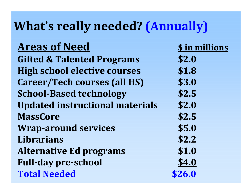### **What's really needed? (Annually)**

#### **Areas of Need**

**Gifted & Talented Programs \$2.0 High school elective courses \$1.8 Career/Tech courses (all HS) \$3.0 SchoolBased technology \$2.5 Updated instructional materials \$2.0 MassCore \$2.5 Wraparound services \$5.0 Librarians \$2.2 Alternative Ed programs \$1.0 Fullday preschool \$4.0 Total Needed \$26.0**

**\$ in millions**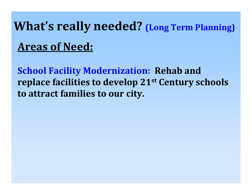# **What's really needed? (Long Term Planning) Areas of Need:**

**School Facility Modernization: Rehab and replace facilities to develop 21st Century schools to attract families to our city.**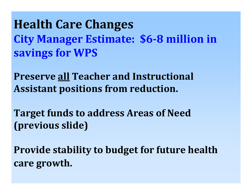**Health Care Changes City Manager Estimate: \$68 million in savings for WPS**

**Preserve all Teacher and Instructional Assistant positions from reduction.**

**Target funds to address Areas of Need (previous slide)**

**Provide stability to budget for future health care growth.**